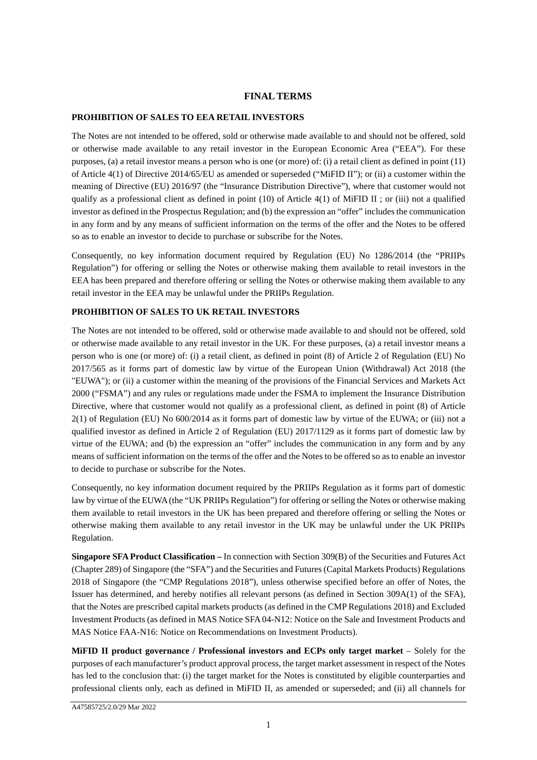### **FINAL TERMS**

### **PROHIBITION OF SALES TO EEA RETAIL INVESTORS**

The Notes are not intended to be offered, sold or otherwise made available to and should not be offered, sold or otherwise made available to any retail investor in the European Economic Area ("EEA"). For these purposes, (a) a retail investor means a person who is one (or more) of: (i) a retail client as defined in point (11) of Article 4(1) of Directive 2014/65/EU as amended or superseded ("MiFID II"); or (ii) a customer within the meaning of Directive (EU) 2016/97 (the "Insurance Distribution Directive"), where that customer would not qualify as a professional client as defined in point (10) of Article  $4(1)$  of MiFID II ; or (iii) not a qualified investor as defined in the Prospectus Regulation; and (b) the expression an "offer" includes the communication in any form and by any means of sufficient information on the terms of the offer and the Notes to be offered so as to enable an investor to decide to purchase or subscribe for the Notes.

Consequently, no key information document required by Regulation (EU) No 1286/2014 (the "PRIIPs Regulation") for offering or selling the Notes or otherwise making them available to retail investors in the EEA has been prepared and therefore offering or selling the Notes or otherwise making them available to any retail investor in the EEA may be unlawful under the PRIIPs Regulation.

### **PROHIBITION OF SALES TO UK RETAIL INVESTORS**

The Notes are not intended to be offered, sold or otherwise made available to and should not be offered, sold or otherwise made available to any retail investor in the UK. For these purposes, (a) a retail investor means a person who is one (or more) of: (i) a retail client, as defined in point (8) of Article 2 of Regulation (EU) No 2017/565 as it forms part of domestic law by virtue of the European Union (Withdrawal) Act 2018 (the "EUWA"); or (ii) a customer within the meaning of the provisions of the Financial Services and Markets Act 2000 ("FSMA") and any rules or regulations made under the FSMA to implement the Insurance Distribution Directive, where that customer would not qualify as a professional client, as defined in point (8) of Article 2(1) of Regulation (EU) No 600/2014 as it forms part of domestic law by virtue of the EUWA; or (iii) not a qualified investor as defined in Article 2 of Regulation (EU) 2017/1129 as it forms part of domestic law by virtue of the EUWA; and (b) the expression an "offer" includes the communication in any form and by any means of sufficient information on the terms of the offer and the Notes to be offered so as to enable an investor to decide to purchase or subscribe for the Notes.

Consequently, no key information document required by the PRIIPs Regulation as it forms part of domestic law by virtue of the EUWA (the "UK PRIIPs Regulation") for offering or selling the Notes or otherwise making them available to retail investors in the UK has been prepared and therefore offering or selling the Notes or otherwise making them available to any retail investor in the UK may be unlawful under the UK PRIIPs Regulation.

**Singapore SFA Product Classification –** In connection with Section 309(B) of the Securities and Futures Act (Chapter 289) of Singapore (the "SFA") and the Securities and Futures (Capital Markets Products) Regulations 2018 of Singapore (the "CMP Regulations 2018"), unless otherwise specified before an offer of Notes, the Issuer has determined, and hereby notifies all relevant persons (as defined in Section 309A(1) of the SFA), that the Notes are prescribed capital markets products (as defined in the CMP Regulations 2018) and Excluded Investment Products (as defined in MAS Notice SFA 04-N12: Notice on the Sale and Investment Products and MAS Notice FAA-N16: Notice on Recommendations on Investment Products).

**MiFID II product governance / Professional investors and ECPs only target market** – Solely for the purposes of each manufacturer's product approval process, the target market assessment in respect of the Notes has led to the conclusion that: (i) the target market for the Notes is constituted by eligible counterparties and professional clients only, each as defined in MiFID II, as amended or superseded; and (ii) all channels for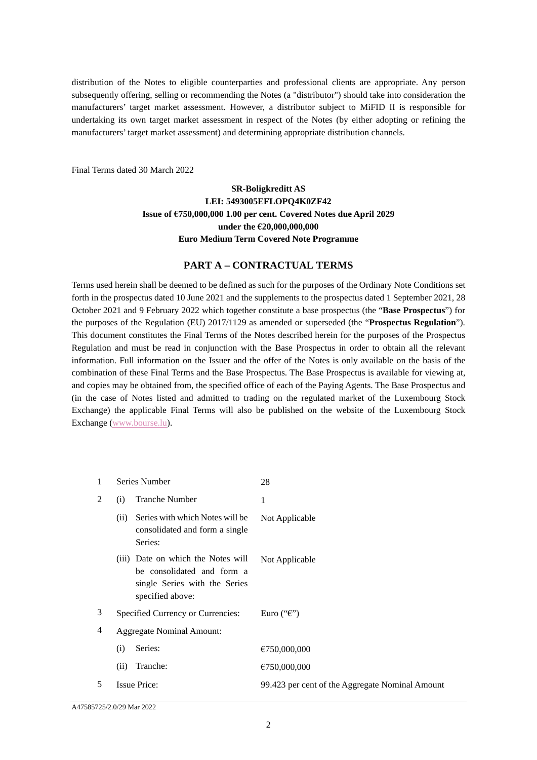distribution of the Notes to eligible counterparties and professional clients are appropriate. Any person subsequently offering, selling or recommending the Notes (a "distributor") should take into consideration the manufacturers' target market assessment. However, a distributor subject to MiFID II is responsible for undertaking its own target market assessment in respect of the Notes (by either adopting or refining the manufacturers' target market assessment) and determining appropriate distribution channels.

Final Terms dated 30 March 2022

# **SR-Boligkreditt AS LEI: 5493005EFLOPQ4K0ZF42 Issue of €750,000,000 1.00 per cent. Covered Notes due April 2029 under the €20,000,000,000 Euro Medium Term Covered Note Programme**

## **PART A – CONTRACTUAL TERMS**

Terms used herein shall be deemed to be defined as such for the purposes of the Ordinary Note Conditions set forth in the prospectus dated 10 June 2021 and the supplements to the prospectus dated 1 September 2021, 28 October 2021 and 9 February 2022 which together constitute a base prospectus (the "**Base Prospectus**") for the purposes of the Regulation (EU) 2017/1129 as amended or superseded (the "**Prospectus Regulation**"). This document constitutes the Final Terms of the Notes described herein for the purposes of the Prospectus Regulation and must be read in conjunction with the Base Prospectus in order to obtain all the relevant information. Full information on the Issuer and the offer of the Notes is only available on the basis of the combination of these Final Terms and the Base Prospectus. The Base Prospectus is available for viewing at, and copies may be obtained from, the specified office of each of the Paying Agents. The Base Prospectus and (in the case of Notes listed and admitted to trading on the regulated market of the Luxembourg Stock Exchange) the applicable Final Terms will also be published on the website of the Luxembourg Stock Exchange (www.bourse.lu).

| 1 |      | Series Number                                                                                                         | 28                                              |
|---|------|-----------------------------------------------------------------------------------------------------------------------|-------------------------------------------------|
| 2 | (i)  | <b>Tranche Number</b>                                                                                                 | 1                                               |
|   | (ii) | Series with which Notes will be<br>consolidated and form a single<br>Series:                                          | Not Applicable                                  |
|   |      | (iii) Date on which the Notes will<br>be consolidated and form a<br>single Series with the Series<br>specified above: | Not Applicable                                  |
| 3 |      | Specified Currency or Currencies:                                                                                     | Euro (" $\epsilon$ ")                           |
| 4 |      | <b>Aggregate Nominal Amount:</b>                                                                                      |                                                 |
|   | (i)  | Series:                                                                                                               | €750,000,000                                    |
|   | (ii) | Tranche:                                                                                                              | €750,000,000                                    |
| 5 |      | <b>Issue Price:</b>                                                                                                   | 99.423 per cent of the Aggregate Nominal Amount |

A47585725/2.0/29 Mar 2022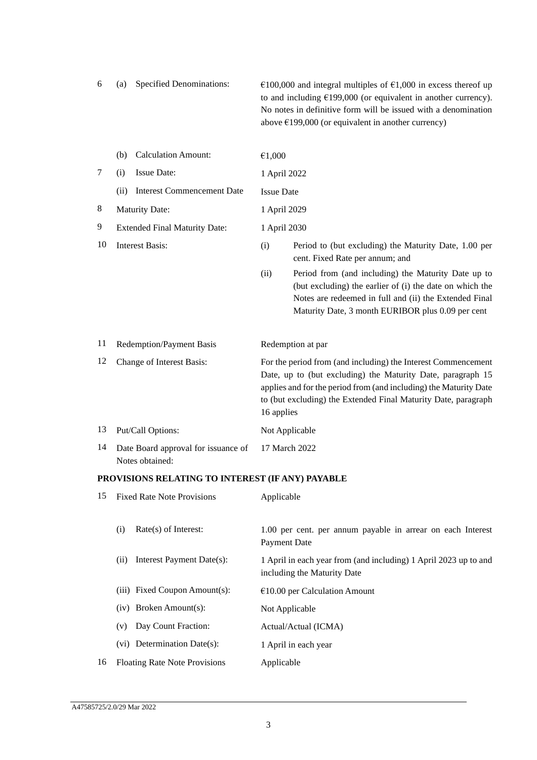| 6 | (a) Specified Denominations: | $\epsilon$ 100,000 and integral multiples of $\epsilon$ 1,000 in excess thereof up |
|---|------------------------------|------------------------------------------------------------------------------------|
|   |                              | to and including $\epsilon$ 199,000 (or equivalent in another currency).           |
|   |                              | No notes in definitive form will be issued with a denomination                     |
|   |                              | above $\epsilon$ 199,000 (or equivalent in another currency)                       |

|    | <b>Calculation Amount:</b><br>(b)                      | €1,000            |                                                                                                                                                                                                                                                                     |
|----|--------------------------------------------------------|-------------------|---------------------------------------------------------------------------------------------------------------------------------------------------------------------------------------------------------------------------------------------------------------------|
| 7  | <b>Issue Date:</b><br>(i)                              | 1 April 2022      |                                                                                                                                                                                                                                                                     |
|    | <b>Interest Commencement Date</b><br>(ii)              | <b>Issue Date</b> |                                                                                                                                                                                                                                                                     |
| 8  | <b>Maturity Date:</b>                                  | 1 April 2029      |                                                                                                                                                                                                                                                                     |
| 9  | <b>Extended Final Maturity Date:</b>                   | 1 April 2030      |                                                                                                                                                                                                                                                                     |
| 10 | <b>Interest Basis:</b>                                 | (i)               | Period to (but excluding) the Maturity Date, 1.00 per<br>cent. Fixed Rate per annum; and                                                                                                                                                                            |
|    |                                                        | (ii)              | Period from (and including) the Maturity Date up to<br>(but excluding) the earlier of (i) the date on which the<br>Notes are redeemed in full and (ii) the Extended Final<br>Maturity Date, 3 month EURIBOR plus 0.09 per cent                                      |
| 11 | <b>Redemption/Payment Basis</b>                        |                   | Redemption at par                                                                                                                                                                                                                                                   |
| 12 | Change of Interest Basis:                              | 16 applies        | For the period from (and including) the Interest Commencement<br>Date, up to (but excluding) the Maturity Date, paragraph 15<br>applies and for the period from (and including) the Maturity Date<br>to (but excluding) the Extended Final Maturity Date, paragraph |
| 13 | Put/Call Options:                                      |                   | Not Applicable                                                                                                                                                                                                                                                      |
| 14 | Date Board approval for issuance of<br>Notes obtained: |                   | 17 March 2022                                                                                                                                                                                                                                                       |

# **PROVISIONS RELATING TO INTEREST (IF ANY) PAYABLE**

| 15 | <b>Fixed Rate Note Provisions</b>    | Applicable                                                                                      |
|----|--------------------------------------|-------------------------------------------------------------------------------------------------|
|    | $Rate(s)$ of Interest:<br>(i)        | 1.00 per cent. per annum payable in arrear on each Interest<br>Payment Date                     |
|    | Interest Payment Date(s):<br>(i)     | 1 April in each year from (and including) 1 April 2023 up to and<br>including the Maturity Date |
|    | (iii) Fixed Coupon Amount(s):        | $\epsilon$ 10.00 per Calculation Amount                                                         |
|    | $(iv)$ Broken Amount $(s)$ :         | Not Applicable                                                                                  |
|    | Day Count Fraction:<br>(v)           | Actual/Actual (ICMA)                                                                            |
|    | $(vi)$ Determination Date $(s)$ :    | 1 April in each year                                                                            |
| 16 | <b>Floating Rate Note Provisions</b> | Applicable                                                                                      |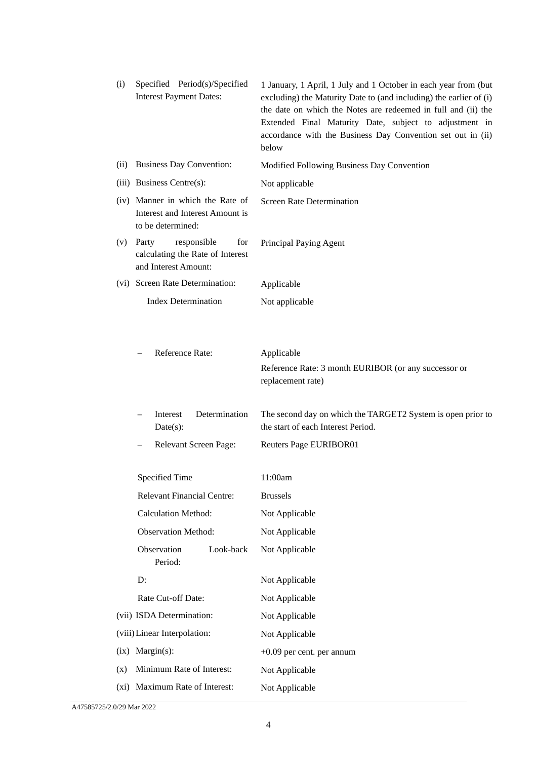| (i)  | Specified Period(s)/Specified<br><b>Interest Payment Dates:</b>                          | 1 January, 1 April, 1 July and 1 October in each year from (but<br>excluding) the Maturity Date to (and including) the earlier of (i)<br>the date on which the Notes are redeemed in full and (ii) the<br>Extended Final Maturity Date, subject to adjustment in<br>accordance with the Business Day Convention set out in (ii)<br>below |
|------|------------------------------------------------------------------------------------------|------------------------------------------------------------------------------------------------------------------------------------------------------------------------------------------------------------------------------------------------------------------------------------------------------------------------------------------|
| (ii) | <b>Business Day Convention:</b>                                                          | Modified Following Business Day Convention                                                                                                                                                                                                                                                                                               |
|      | (iii) Business Centre(s):                                                                | Not applicable                                                                                                                                                                                                                                                                                                                           |
|      | (iv) Manner in which the Rate of<br>Interest and Interest Amount is<br>to be determined: | <b>Screen Rate Determination</b>                                                                                                                                                                                                                                                                                                         |
| (v)  | Party<br>responsible<br>for<br>calculating the Rate of Interest<br>and Interest Amount:  | Principal Paying Agent                                                                                                                                                                                                                                                                                                                   |
|      | (vi) Screen Rate Determination:                                                          | Applicable                                                                                                                                                                                                                                                                                                                               |
|      | <b>Index Determination</b>                                                               | Not applicable                                                                                                                                                                                                                                                                                                                           |
|      | Reference Rate:                                                                          | Applicable<br>Reference Rate: 3 month EURIBOR (or any successor or<br>replacement rate)                                                                                                                                                                                                                                                  |
|      | Interest<br>Determination<br>Date(s):                                                    | The second day on which the TARGET2 System is open prior to<br>the start of each Interest Period.                                                                                                                                                                                                                                        |
|      | Relevant Screen Page:                                                                    | Reuters Page EURIBOR01                                                                                                                                                                                                                                                                                                                   |
|      |                                                                                          |                                                                                                                                                                                                                                                                                                                                          |
|      | Specified Time                                                                           | 11:00am                                                                                                                                                                                                                                                                                                                                  |
|      | <b>Relevant Financial Centre:</b>                                                        | <b>Brussels</b>                                                                                                                                                                                                                                                                                                                          |
|      | <b>Calculation Method:</b>                                                               | Not Applicable                                                                                                                                                                                                                                                                                                                           |
|      | <b>Observation Method:</b>                                                               | Not Applicable                                                                                                                                                                                                                                                                                                                           |
|      | Observation<br>Look-back<br>Period:                                                      | Not Applicable                                                                                                                                                                                                                                                                                                                           |
|      | D:                                                                                       | Not Applicable                                                                                                                                                                                                                                                                                                                           |
|      | Rate Cut-off Date:                                                                       | Not Applicable                                                                                                                                                                                                                                                                                                                           |
|      | (vii) ISDA Determination:                                                                | Not Applicable                                                                                                                                                                                                                                                                                                                           |
|      | (viii) Linear Interpolation:                                                             | Not Applicable                                                                                                                                                                                                                                                                                                                           |
| (ix) | $Margin(s)$ :                                                                            | $+0.09$ per cent. per annum                                                                                                                                                                                                                                                                                                              |
| (x)  | Minimum Rate of Interest:                                                                | Not Applicable                                                                                                                                                                                                                                                                                                                           |
|      | (xi) Maximum Rate of Interest:                                                           | Not Applicable                                                                                                                                                                                                                                                                                                                           |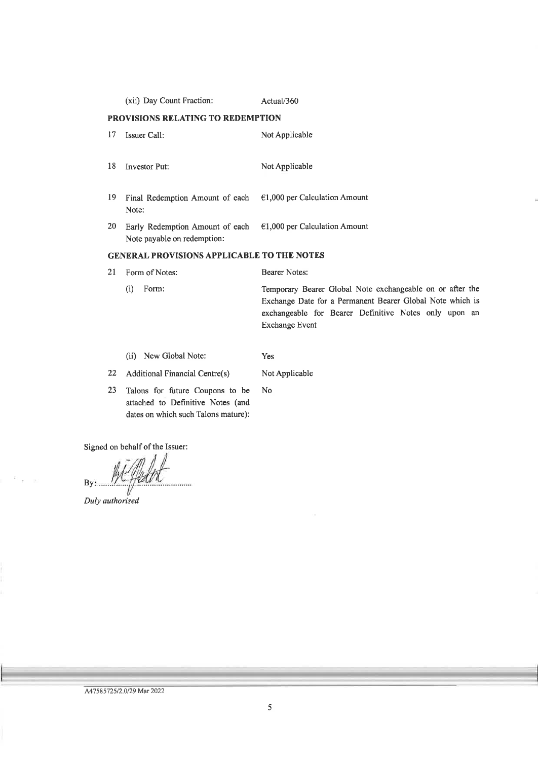|    | (xii) Day Count Fraction:                                      | Actual/360                      |
|----|----------------------------------------------------------------|---------------------------------|
|    | PROVISIONS RELATING TO REDEMPTION                              |                                 |
| 17 | <b>Issuer Call:</b>                                            | Not Applicable                  |
| 18 | <b>Investor Put:</b>                                           | Not Applicable                  |
| 19 | Final Redemption Amount of each<br>Note:                       | $E1,000$ per Calculation Amount |
| 20 | Early Redemption Amount of each<br>Note payable on redemption: | $E1,000$ per Calculation Amount |
|    | <b>GENERAL PROVISIONS APPLICABLE TO THE NOTES</b>              |                                 |

21 Form of Notes:  $(i)$  Form:

**Bearer Notes:** 

Temporary Bearer Global Note exchangeable on or after the Exchange Date for a Permanent Bearer Global Note which is exchangeable for Bearer Definitive Notes only upon an Exchange Event

(ii) New Global Note: Yes

22 Additional Financial Centre(s)

Not Applicable

23 Talons for future Coupons to be No attached to Definitive Notes (and dates on which such Talons mature):

Signed on behalf of the Issuer:

By: ....

Duly authorised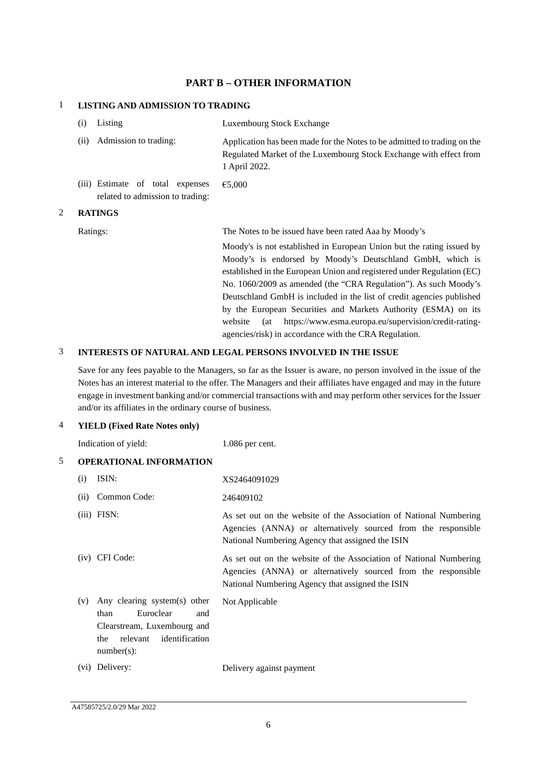## **PART B – OTHER INFORMATION**

## 1 **LISTING AND ADMISSION TO TRADING**

|   | Listing<br>(i)                                                       | Luxembourg Stock Exchange                                                                                                                                                                                                                                                                                                                                                                                                   |
|---|----------------------------------------------------------------------|-----------------------------------------------------------------------------------------------------------------------------------------------------------------------------------------------------------------------------------------------------------------------------------------------------------------------------------------------------------------------------------------------------------------------------|
|   | Admission to trading:<br>(ii)                                        | Application has been made for the Notes to be admitted to trading on the<br>Regulated Market of the Luxembourg Stock Exchange with effect from<br>1 April 2022.                                                                                                                                                                                                                                                             |
|   | (iii) Estimate of total expenses<br>related to admission to trading: | €5,000                                                                                                                                                                                                                                                                                                                                                                                                                      |
| 2 | <b>RATINGS</b>                                                       |                                                                                                                                                                                                                                                                                                                                                                                                                             |
|   | Ratings:                                                             | The Notes to be issued have been rated Aaa by Moody's                                                                                                                                                                                                                                                                                                                                                                       |
|   |                                                                      | Moody's is not established in European Union but the rating issued by<br>Moody's is endorsed by Moody's Deutschland GmbH, which is<br>established in the European Union and registered under Regulation (EC)<br>No. 1060/2009 as amended (the "CRA Regulation"). As such Moody's<br>Deutschland GmbH is included in the list of credit agencies published<br>by the European Securities and Markets Authority (ESMA) on its |

### 3 **INTERESTS OF NATURAL AND LEGAL PERSONS INVOLVED IN THE ISSUE**

Save for any fees payable to the Managers, so far as the Issuer is aware, no person involved in the issue of the Notes has an interest material to the offer. The Managers and their affiliates have engaged and may in the future engage in investment banking and/or commercial transactions with and may perform other services for the Issuer and/or its affiliates in the ordinary course of business.

website (at https://www.esma.europa.eu/supervision/credit-rating-

agencies/risk) in accordance with the CRA Regulation.

## 4 **YIELD (Fixed Rate Notes only)**

|   |      | Indication of yield:                                                                                                                          | 1.086 per cent.                                                                                                                                                                         |
|---|------|-----------------------------------------------------------------------------------------------------------------------------------------------|-----------------------------------------------------------------------------------------------------------------------------------------------------------------------------------------|
| 5 |      | <b>OPERATIONAL INFORMATION</b>                                                                                                                |                                                                                                                                                                                         |
|   | (i)  | ISIN:                                                                                                                                         | XS2464091029                                                                                                                                                                            |
|   | (ii) | Common Code:                                                                                                                                  | 246409102                                                                                                                                                                               |
|   |      | $(iii)$ FISN:                                                                                                                                 | As set out on the website of the Association of National Numbering<br>Agencies (ANNA) or alternatively sourced from the responsible<br>National Numbering Agency that assigned the ISIN |
|   |      | (iv) CFI Code:                                                                                                                                | As set out on the website of the Association of National Numbering<br>Agencies (ANNA) or alternatively sourced from the responsible<br>National Numbering Agency that assigned the ISIN |
|   | (v)  | Any clearing system(s) other<br>Euroclear<br>than<br>and<br>Clearstream, Luxembourg and<br>relevant<br>identification<br>the<br>$number(s)$ : | Not Applicable                                                                                                                                                                          |
|   |      | (vi) Delivery:                                                                                                                                | Delivery against payment                                                                                                                                                                |
|   |      |                                                                                                                                               |                                                                                                                                                                                         |